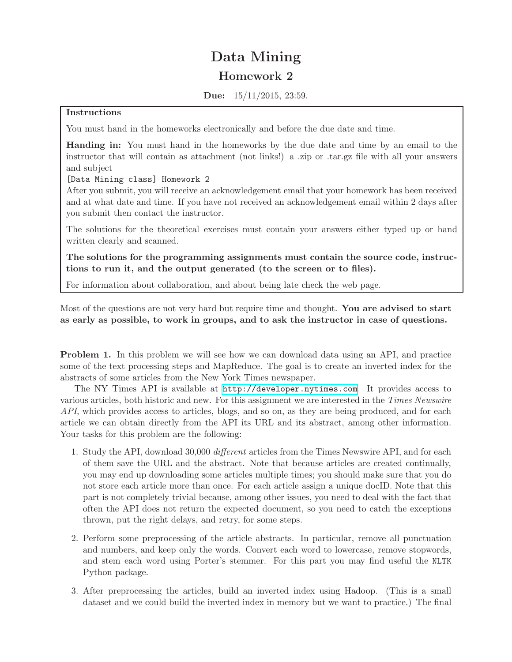## Data Mining Homework 2

Due: 15/11/2015, 23:59.

## Instructions

You must hand in the homeworks electronically and before the due date and time.

Handing in: You must hand in the homeworks by the due date and time by an email to the instructor that will contain as attachment (not links!) a .zip or .tar.gz file with all your answers and subject

[Data Mining class] Homework 2

After you submit, you will receive an acknowledgement email that your homework has been received and at what date and time. If you have not received an acknowledgement email within 2 days after you submit then contact the instructor.

The solutions for the theoretical exercises must contain your answers either typed up or hand written clearly and scanned.

The solutions for the programming assignments must contain the source code, instructions to run it, and the output generated (to the screen or to files).

For information about collaboration, and about being late check the web page.

Most of the questions are not very hard but require time and thought. You are advised to start as early as possible, to work in groups, and to ask the instructor in case of questions.

Problem 1. In this problem we will see how we can download data using an API, and practice some of the text processing steps and MapReduce. The goal is to create an inverted index for the abstracts of some articles from the New York Times newspaper.

The NY Times API is available at <http://developer.nytimes.com>. It provides access to various articles, both historic and new. For this assignment we are interested in the Times Newswire API, which provides access to articles, blogs, and so on, as they are being produced, and for each article we can obtain directly from the API its URL and its abstract, among other information. Your tasks for this problem are the following:

- 1. Study the API, download 30,000 different articles from the Times Newswire API, and for each of them save the URL and the abstract. Note that because articles are created continually, you may end up downloading some articles multiple times; you should make sure that you do not store each article more than once. For each article assign a unique docID. Note that this part is not completely trivial because, among other issues, you need to deal with the fact that often the API does not return the expected document, so you need to catch the exceptions thrown, put the right delays, and retry, for some steps.
- 2. Perform some preprocessing of the article abstracts. In particular, remove all punctuation and numbers, and keep only the words. Convert each word to lowercase, remove stopwords, and stem each word using Porter's stemmer. For this part you may find useful the NLTK Python package.
- 3. After preprocessing the articles, build an inverted index using Hadoop. (This is a small dataset and we could build the inverted index in memory but we want to practice.) The final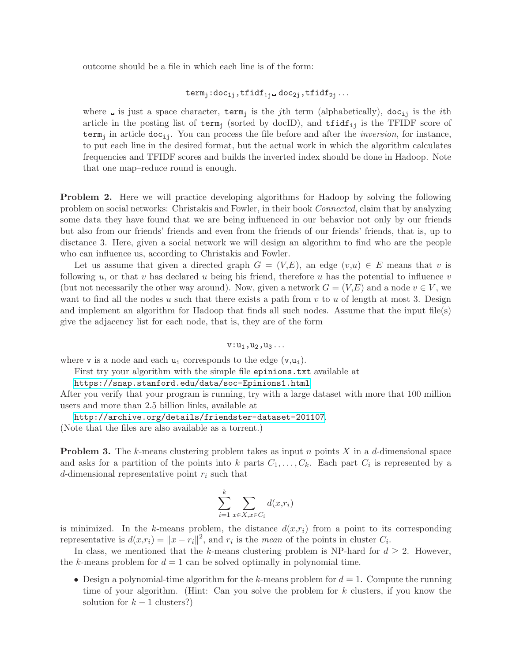outcome should be a file in which each line is of the form:

$$
\mathtt{term}_j:\mathtt{doc}_{1j},\mathtt{tfidf}_{1j}\_\mathtt{doc}_{2j},\mathtt{tfidf}_{2j}\ldots
$$

where  $\Box$  is just a space character, term<sub>j</sub> is the jth term (alphabetically), doc<sub>ij</sub> is the *i*th article in the posting list of term<sub>j</sub> (sorted by docID), and  $\text{tfidf}_{ij}$  is the TFIDF score of term<sub>i</sub> in article doc<sub>ij</sub>. You can process the file before and after the *inversion*, for instance, to put each line in the desired format, but the actual work in which the algorithm calculates frequencies and TFIDF scores and builds the inverted index should be done in Hadoop. Note that one map–reduce round is enough.

Problem 2. Here we will practice developing algorithms for Hadoop by solving the following problem on social networks: Christakis and Fowler, in their book Connected, claim that by analyzing some data they have found that we are being influenced in our behavior not only by our friends but also from our friends' friends and even from the friends of our friends' friends, that is, up to disctance 3. Here, given a social network we will design an algorithm to find who are the people who can influence us, according to Christakis and Fowler.

Let us assume that given a directed graph  $G = (V,E)$ , an edge  $(v,u) \in E$  means that v is following u, or that v has declared u being his friend, therefore u has the potential to influence v (but not necessarily the other way around). Now, given a network  $G = (V,E)$  and a node  $v \in V$ , we want to find all the nodes u such that there exists a path from  $v$  to  $u$  of length at most 3. Design and implement an algorithm for Hadoop that finds all such nodes. Assume that the input file(s) give the adjacency list for each node, that is, they are of the form

 $v:u_1,u_2,u_3\ldots$ 

where v is a node and each  $u_i$  corresponds to the edge  $(v, u_i)$ .

First try your algorithm with the simple file epinions.txt available at

<https://snap.stanford.edu/data/soc-Epinions1.html>.

After you verify that your program is running, try with a large dataset with more that 100 million users and more than 2.5 billion links, available at

<http://archive.org/details/friendster-dataset-201107>. (Note that the files are also available as a torrent.)

**Problem 3.** The k-means clustering problem takes as input n points X in a d-dimensional space and asks for a partition of the points into k parts  $C_1, \ldots, C_k$ . Each part  $C_i$  is represented by a d-dimensional representative point  $r_i$  such that

$$
\sum_{i=1}^{k} \sum_{x \in X, x \in C_i} d(x, r_i)
$$

is minimized. In the k-means problem, the distance  $d(x,r_i)$  from a point to its corresponding representative is  $d(x,r_i) = ||x - r_i||^2$ , and  $r_i$  is the *mean* of the points in cluster  $C_i$ .

In class, we mentioned that the k-means clustering problem is NP-hard for  $d \geq 2$ . However, the k-means problem for  $d = 1$  can be solved optimally in polynomial time.

• Design a polynomial-time algorithm for the k-means problem for  $d = 1$ . Compute the running time of your algorithm. (Hint: Can you solve the problem for  $k$  clusters, if you know the solution for  $k - 1$  clusters?)